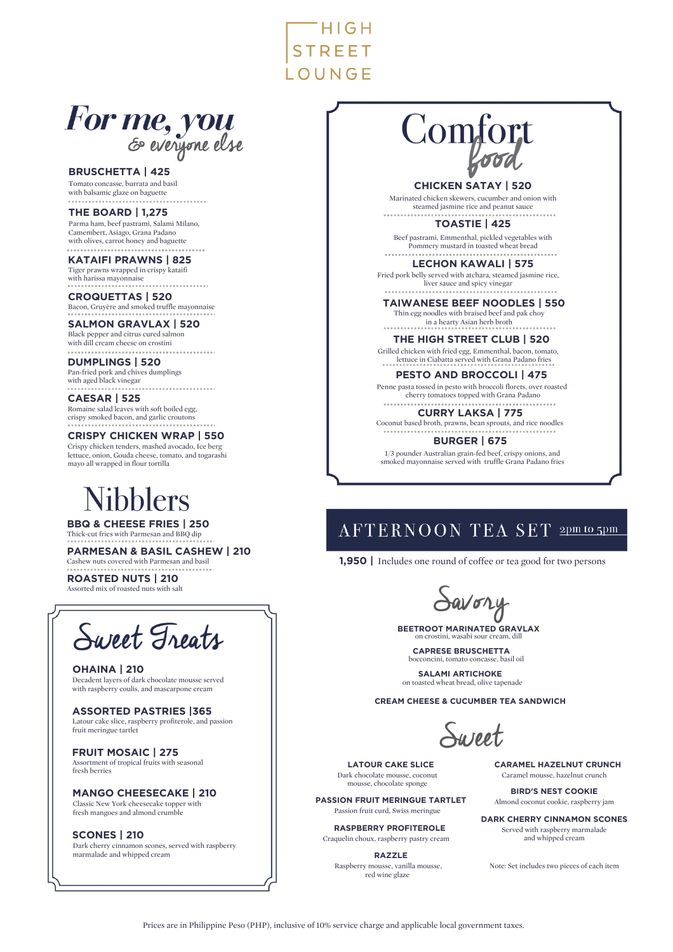$HIGH$ **STREET** LOUNGE

# For me, you

**BRUSCHETTA | 425**

Tomato concasse, burrata and basil with balsamic glaze on baguette

**THE BOARD | 1,275** Parma ham, beef pastrami, Salami Milano, Camembert, Asiago, Grana Padano with olives, carrot honey and baguette

**KATAIFI PRAWNS | 825** Tiger prawns wrapped in crispy kataifi Tiger prawns weaker.

**CROQUETTAS | 520** Bacon, Gruyère and smoked truffle mayonnaise

#### **SALMON GRAVLAX | 520** Black pepper and citrus cured salmon

with dill cream cheese on crostini

#### **DUMPLINGS | 520** Pan-fried pork and chives dumplings

with aged black vinegar

**CAESAR | 525** Romaine salad leaves with soft boiled egg, crispy smoked bacon, and garlic croutons

**CRISPY CHICKEN WRAP | 550**

Crispy chicken tenders, mashed avocado, Ice berg lettuce, onion, Gouda cheese, tomato, and togarashi mayo all wrapped in flour tortilla

# Jibblers

**BBQ & CHEESE FRIES | 250** Thick-cut fries with Parmesan and BBQ dip

**PARMESAN & BASIL CASHEW | 210** Cashew nuts covered with Parmesan and basil

**ROASTED NUTS | 210** Assorted mix of roasted nuts with salt



**OHAINA | 210** Decadent layers of dark chocolate mousse served with raspberry coulis, and mascarpone cream

**ASSORTED PASTRIES |365** Latour cake slice, raspberry profiterole, and passion fruit meringue tartlet

**FRUIT MOSAIC | 275** Assortment of tropical fruits with seasonal fresh berries

**MANGO CHEESECAKE | 210** Classic New York cheesecake topper with fresh mangoes and almond crumble

**SCONES | 210** Dark cherry cinnamon scones, served with raspberry marmalade and whipped cream

# Comfort

**CHICKEN SATAY | 520**

Marinated chicken skewers, cucumber and onion with steamed jasmine rice and peanut sauce

**TOASTIE | 425** Beef pastrami, Emmenthal, pickled vegetables with Pommery mustard in toasted wheat bread

**LECHON KAWALI | 575** Fried pork belly served with atchara, steamed jasmine rice, Ily served with accumulation<br>liver sauce and spicy vinegar

. . . . . . . . . . . . **TAIWANESE BEEF NOODLES | 550**

Thin egg noodles with braised beef and pak choy in a hearty Asian herb broth

### **THE HIGH STREET CLUB | 520**

Grilled chicken with fried egg, Emmenthal, bacon, tomato, lettuce in Ciabatta served with Grana Padano fries

### **PESTO AND BROCCOLI | 475**

Penne pasta tossed in pesto with broccoli florets, over roasted cherry tomatoes topped with Grana Padano

. . . . . . . . . **CURRY LAKSA | 775**

Coconut based broth, prawns, bean sprouts, and rice noodles **BURGER | 675**

1/3 pounder Australian grain-fed beef, crispy onions, and smoked mayonnaise served with truffle Grana Padano fries

# AFTERNOON TEA SET 2pm to 5pm

**1,950 |** Includes one round of coffee or tea good for two persons

avory

**BEETROOT MARINATED GRAVLAX** on crostini, wasabi sour cream, dill

**CAPRESE BRUSCHETTA** bocconcini, tomato concasse, basil oil

**SALAMI ARTICHOKE** on toasted wheat bread, olive tapenade

**CREAM CHEESE & CUCUMBER TEA SANDWICH**

Sureet

**LATOUR CAKE SLICE** Dark chocolate mousse, coconut mousse, chocolate sponge **PASSION FRUIT MERINGUE TARTLET** Passion fruit curd, Swiss meringue **RASPBERRY PROFITEROLE** Craquelin choux, raspberry pastry cream **RAZZLE** Raspberry mousse, vanilla mousse, red wine glaze

**CARAMEL HAZELNUT CRUNCH** Caramel mousse, hazelnut crunch

**BIRD'S NEST COOKIE** Almond coconut cookie, raspberry jam

**DARK CHERRY CINNAMON SCONES** Served with raspberry marmalade and whipped cream

Note: Set includes two pieces of each item